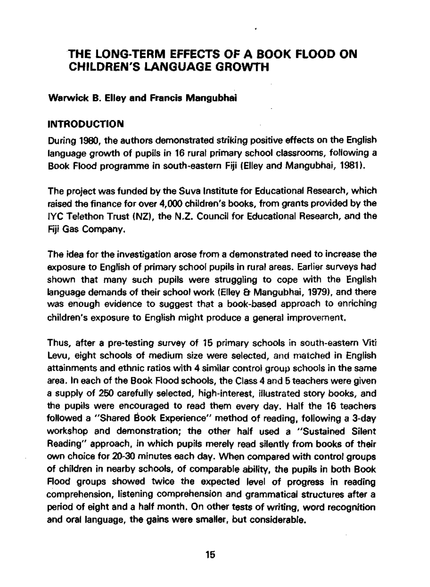# **THE LONG-TERM EFFECTS OF A BOOK FLOOD ON CHILDREN'S LANGUAGE GROWTH**

### **Warwick B. Elley and Francis Mangubhai**

#### **INTRODUCTION**

During 1980, the authors demonstrated striking positive effects on the English language growth of pupils in 16 rural primary school classrooms, following a Book Flood programme in south-eastern Fiji (Elley and Mangubhai, 1981).

The project was funded by the Suva Institute for Educational Research, which raised the finance for over 4,000 children's books, from grants provided by the IYC Telethon Trust (NZ), the N.Z. Council for Educational Research, and the Fiji Gas Company.

The idea for the investigation arose from a demonstrated need to increase the exposure to English of primary school pupils in rural areas. Earlier surveys had shown that many such pupils were struggling to cope with the English language demands of their school work (Elley & Mangubhai, 1979), and there was enough evidence to suggest that a book-based approach to enriching children's exposure to English might produce a general improvement.

Thus, after a pre-testing survey of 15 primary schools in south-eastern Viti Levu, eight schools of medium size were selected, and matched in English attainments and ethnic ratios with 4 similar control group schools in the same area. In each of the Book Flood schools, the Class 4 and 5 teachers were given a supply of 250 carefully selected, high-interest, illustrated story books, and the pupils were encouraged to read them every day. Half the 16 teachers followed a "Shared Book Experience" method of reading, following a 3-day workshop and demonstration; the other half used a "Sustained Silent Reading" approach, in which pupils merely read silently from books of their own choice for 20-30 minutes each day. When compared with control groups of children in nearby schools, of comparable ability, the pupils in both Book Flood groups showed twice the expected level of progress in reading comprehension, listening comprehension and grammatical structures after a period of eight and a half month. On other tests of writing, word recognition and oral language, the gains were smaller, but considerable.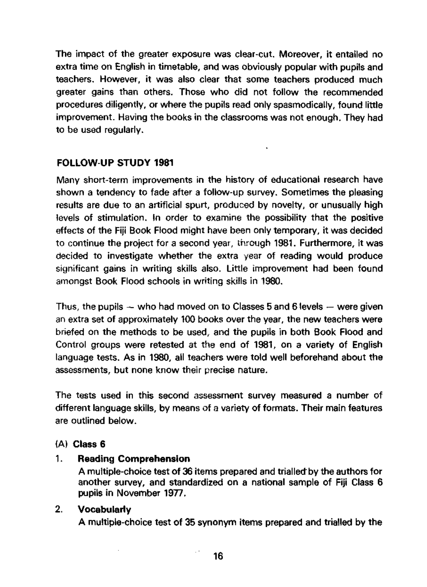The impact of the greater exposure was clear-cut. Moreover, it entailed no extra time on English in timetable, and was obviously popular with pupils and teachers. However, it was also clear that some teachers produced much greater gains than others. Those who did not follow the recommended procedures diligently, or where the pupils read only spasmodically, found little improvement. Having the books in the classrooms was not enough. They had to be used regularly.

## **FOLLOW-UP STUDY 1981**

Many short-term improvements in the history of educational research have shown a tendency to fade after a follow-up survey. Sometimes the pleasing results are due to an artificial spurt, produced by novelty, or unusually high levels of stimulation. In order to examine the possibility that the positive effects of the Fiji Book Flood might have been only temporary, it was decided to continue the project for a second year, through 1981. Furthermore, it was decided to investigate whether the extra year of reading would produce significant gains in writing skills also. Little improvement had been found amongst Book Flood schools in writing skills in 1980.

Thus, the pupils  $-$  who had moved on to Classes 5 and 6 levels  $-$  were given an extra set of approximately 100 books over the year, the new teachers were briefed on the methods to be used and the pupils in both Book Flood and Control groups were retested at the end of 1981, on a variety of English language tests. As in 1980, all teachers were told well beforehand about the assessments, but none know their precise nature.

The tests used in this second assessment survey measured a number of different language skills, by means of a variety of formats. Their main features are outlined below.

## (A) **Class 6**

## 1. **Reading Comprehension**

A multiple-choice test of 36 items prepared and trialled by the authors for another survey, and standardized on a national sample of Fiji Class 6 pupils in November 1977.

## 2. **Vocabularly**

A multiple-choice test of 35 synonym items prepared and trialled by the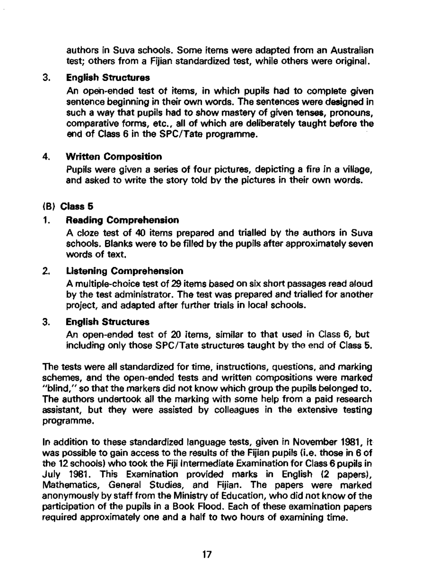authors in Suva schools. Some items were adapted from an Australian test; others from a Fijian standardized test, while others were original.

## 3. **English Structures**

An open-ended test of items, in which pupils had to complete given sentence beginning in their own words. The sentences were designed in such a way that pupils had to show mastery of given tenses, pronouns, comparative forms, etc., all of which are deliberately taught before the end of Class 6 in the SPC/Tate programme.

## 4. **Written Composition**

Pupils were given a series of four pictures, depicting a fire in a village, and asked to write the story told by the pictures in their own words.

#### **(B) Class 5**

#### **1. Reading Comprehension**

A cloze test of 40 items prepared and trialled by the authors in Suva schools. Blanks were to be filled by the pupils after approximately seven words of text.

#### 2. Listening Comprehension

A multiple-choice test of 29 items based on six short passages read aloud by the test administrator. The test was prepared and trialled for another project, and adapted after further trials in local schools.

#### **3. English Structures**

An open-ended test of 20 items, similar to that used in Class 6, but including only those SPC/Tate structures taught by the end of Class 5.

The tests were all standardized for time, instructions, questions, and marking schemes, and the open-ended tests and written compositions were marked "blind," so that the markers did not know which group the pupils belonged to. The authors undertook all the marking with some help from a paid research assistant, but they were assisted by colleagues in the extensive testing programme.

In addition to these standardized language tests, given in November 1981, it was possible to gain access to the results of the Fijian pupils (i.e. those in 6 of the 12 schools) who took the Fiji Intermediate Examination for Class 6 pupils in July 1981. This Examination provided marks in English (2 papers), Mathematics, General Studies, and Fijian. The papers were marked anonymously by staff from the Ministry of Education, who did not know of the participation of the pupils in a Book Flood. Each of these examination papers required approximately one and a half to two hours of examining time.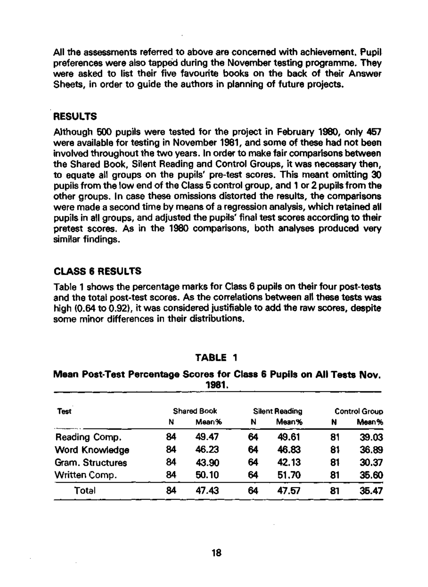All the assessments referred to above are concerned with achievement. Pupil preferences were also tapped during the November testing programme. They were asked to list their five favourite books on the back of their Answer Sheets, in order to guide the authors in planning of future projects.

## **RESULTS**

Although 500 pupils were tested for the project in February 1980, only 457 were available for testing in November 1981, and some of these had not been involved throughout the two years. In order to make fair comparisons between the Shared Book, Silent Reading and Control Groups, it was necessary then, to equate all groups on the pupils' pre-test scores. This meant omitting 30 pupils from the low end of the Class 5 control group, and 1 or 2 pupils from the other groups. In case these omissions distorted the results, the comparisons were made a second time by means of a regression analysis, which retained all pupils in all groups, and adjusted the pupils' final test scores according to their pretest scores. As in the 1980 comparisons, both analyses produced very similar findings.

## **CLASS 6 RESULTS**

Table 1 shows the percentage marks for Class 6 pupils on their four post-tests and the total post-test scores. As the correlations between all these tests was high (0.64 to 0.92), it was considered justifiable to add the raw scores, despite some minor differences in their distributions.

## **TABLE 1**

#### **Mean Post-Test Percentage** Scores for Class **6 Pupils on All Tests Nov.**  1981.

| Test             | <b>Shared Book</b> |       | <b>Silent Reading</b> |       | <b>Control Group</b> |       |
|------------------|--------------------|-------|-----------------------|-------|----------------------|-------|
|                  | N                  | Mean% | N                     | Mean% | N                    | Mean% |
| Reading Comp.    | 84                 | 49.47 | 64                    | 49.61 | 81                   | 39.03 |
| Word Knowledge   | 84                 | 46.23 | 64                    | 46.83 | 81                   | 36.89 |
| Gram. Structures | 84                 | 43.90 | 64                    | 42.13 | 81                   | 30.37 |
| Written Comp.    | 84                 | 50.10 | 64                    | 51.70 | 81                   | 35.60 |
| Total            | 84                 | 47.43 | 64                    | 47.57 | 81                   | 35.47 |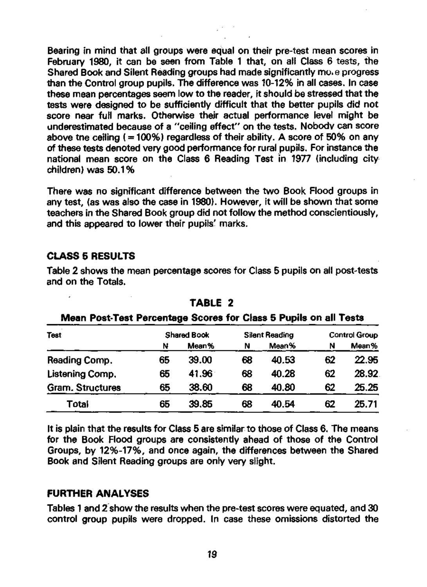Bearing in mind that all groups were equal on their pre-test mean scores in February 1980, it can be seen from Table 1 that, on all Class 6 tests, the Shared Book and Silent Reading groups had made significantly move progress than the Control group pupils. The difference was 10-12% in all cases. In case these mean percentages seem low to the reader, it should be stressed that the tests were designed to be sufficiently difficult that the better pupils did not score near full marks. Otherwise their actual performance level might be underestimated because of a "ceiling effect" on the tests. Nobody can score above tne ceiling  $(= 100\%)$  regardless of their ability. A score of 50% on any of these tests denoted very good performance for rural pupils. For instance the national mean score on the Class 6 Reading Test in 1977 (including city children) was 50.1%

There was no significant difference between the two Book Flood groups in any test, (as was also the case in 1980). However, it will be shown that some teachers in the Shared Book group did not follow the method conscientiously, and this appeared to lower their pupils' marks.

## **CLASS 5 RESULTS**

Table 2 shows the mean percentage scores for Class 5 pupils on all post-tests and on the Totals.

| <b>Test</b>      | <b>Shared Book</b> |       | Ribau Leac Leac Leibenwile Annie Ini Alaes a Lehus an an Leaw<br>Silent Reading |       | <b>Control Group</b> |       |
|------------------|--------------------|-------|---------------------------------------------------------------------------------|-------|----------------------|-------|
|                  | N                  | Mean% | N                                                                               | Mean% | N                    | Mean% |
| Reading Comp.    | 65                 | 39.00 | 68                                                                              | 40.53 | 62                   | 22.95 |
| Listening Comp.  | 65                 | 41.96 | 68                                                                              | 40.28 | 62                   | 28.92 |
| Gram. Structures | 65                 | 38.60 | 68                                                                              | 40.80 | 62                   | 25.25 |
| Totai            | 65                 | 39.85 | 68                                                                              | 40.54 | 62                   | 25.71 |

**TABLE 2 Mean Post-Test Percentage Scores for Class 5 Pupils on all Tests** 

It is plain that the results for Class 5 are similar to those of Class 6. The means for the Book Flood groups are consistently ahead of those of the Control Groups, by 12%-17%, and once again, the differences between the Shared Book and Silent Reading groups are only very slight.

## **FURTHER ANALYSES**

Tables 1 and 2 show the results when the pre-test scores were equated, and 30 control group pupils were dropped. In case these omissions distorted the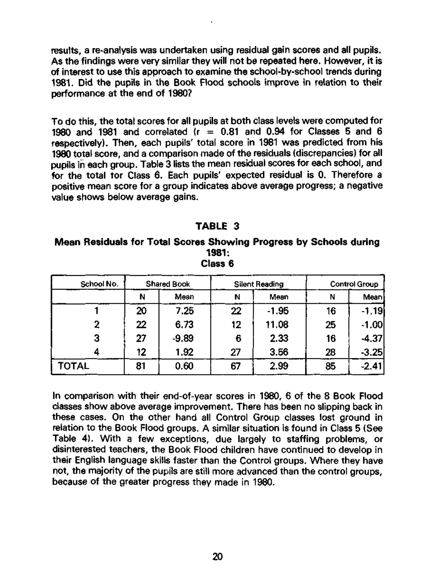results, a re-analysis was undertaken using residual gain scores and all pupils. As the findings were very similar they will not be repeated here. However, it is of interest to use this approach to examine the school-by-school trends during 1981. Did the pupils in the Book Flood schools improve in relation to their performance at the end of 1980?

To do this, the total scores for all pupils at both class levels were computed for 1980 and 1981 and correlated  $(r = 0.81$  and 0.94 for Classes 5 and 6 respectively). Then, each pupils' total score in 1981 was predicted from his 1980 total score, and a comparison made of the residuals (discrepancies) for all pupils in each group. Table 3 lists the mean residual scores for each school, and for the total tor Class 6. Each pupils' expected residual is 0. Therefore a positive mean score for a group indicates above average progress; a negative value shows below average gains.

## **TABLE 3**

#### **Mean Residuals for Total Scores Showing Progress by Schools during 1981: Class 6**

| School No. | <b>Shared Book</b> |         | Silent Reading |         | <b>Control Group</b> |             |
|------------|--------------------|---------|----------------|---------|----------------------|-------------|
|            | N                  | Mean    | N              | Mean    | N                    | <b>Mean</b> |
|            | 20                 | 7.25    | 22             | $-1.95$ | 16                   | $-1.19$     |
| 2          | 22                 | 6.73    | 12             | 11.08   | 25                   | $-1.00$     |
| з          | 27                 | $-9.89$ | 6              | 2.33    | 16                   | $-4.37$     |
|            | 12                 | 1.92    | 27             | 3.56    | 28                   | $-3.25$     |
| TOTAL      | 81                 | 0.60    | 67             | 2.99    | 85                   | $-2.41$     |

In comparison with their end-of-year scores in 1980, 6 of the 8 Book Flood classes show above average improvement. There has been no slipping back in these cases. On the other hand all Control Group classes lost ground in relation to the Book Flood groups. A similar situation is found in Class 5 (See Table 4). With a few exceptions, due largely to staffing problems, or disinterested teachers, the Book Flood children have continued to develop in their English language skills faster than the Control groups. Where they have not, the majority of the pupils are still more advanced than the control groups, because of the greater progress they made in 1980.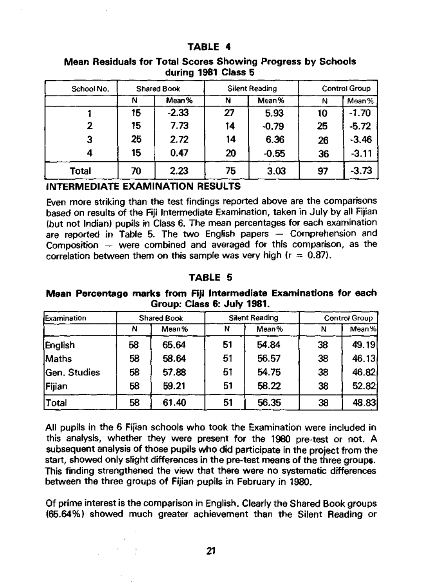#### **TABLE 4**

| School No. | <b>Shared Book</b> |         | Silent Reading |         | <b>Control Group</b> |         |
|------------|--------------------|---------|----------------|---------|----------------------|---------|
|            | N                  | Mean%   | N              | Mean%   | Ν                    | Mean%   |
|            | 15                 | $-2.33$ | 27             | 5.93    | 10                   | $-1.70$ |
| 2          | 15                 | 7.73    | 14             | $-0.79$ | 25                   | $-5.72$ |
| 3          | 25                 | 2.72    | 14             | 6.36    | 26                   | $-3.46$ |
|            | 15                 | 0.47    | 20             | $-0.55$ | 36                   | $-3.11$ |
| Total      | 70                 | 2.23    | 75             | 3.03    | 97                   | $-3.73$ |

## **Mean Residuals for Total Scores Showing** Progress by Schools **during 1981 Class 5**

## **INTERMEDIATE EXAMINATION RESULTS**

Even more striking than the test findings reported above are the comparisons based on results of the Fiji Intermediate Examination, taken in July by all Fijian (but not Indian) pupils in Class 6. The mean percentages for each examination are reported in Table 5. The two English papers — Comprehension and Composition  $-$  were combined and averaged for this comparison, as the correlation between them on this sample was very high ( $r = 0.87$ ).

## **TABLE 5**

#### **Mean Percentage marks from Fiji Intermediate Examinations for** each Group: Class **6: July 1981.**

| <b>I</b> Examination | Shared Book |       | Silent Reading |       | <b>Control Group</b> |       |
|----------------------|-------------|-------|----------------|-------|----------------------|-------|
|                      | N           | Mean% | N              | Mean% | N                    | Mean% |
| English              | 58          | 65.64 | 51             | 54.84 | 38                   | 49.19 |
| <b>Maths</b>         | 58          | 58.64 | 51             | 56.57 | 38                   | 46.13 |
| <b>Gen. Studies</b>  | 58          | 57.88 | 51             | 54.75 | 38                   | 46.82 |
| <b>Fijian</b>        | 58          | 59.21 | 51             | 58.22 | 38                   | 52.82 |
| <b>Total</b>         | 58          | 61.40 | 51             | 56.35 | 38                   | 48.83 |

All pupils in the 6 Fijian schools who took the Examination were included in this analysis, whether they were present for the 1980 pre-test or not. A subsequent analysis of those pupils who did participate in the project from the start, showed only slight differences in the pre-test means of the three groups. This finding strengthened the view that there were no systematic differences between the three groups of Fijian pupils in February in 1980.

Of prime interest is the comparison in English. Clearly the Shared Book groups (65.64%) showed much greater achievement than the Silent Reading or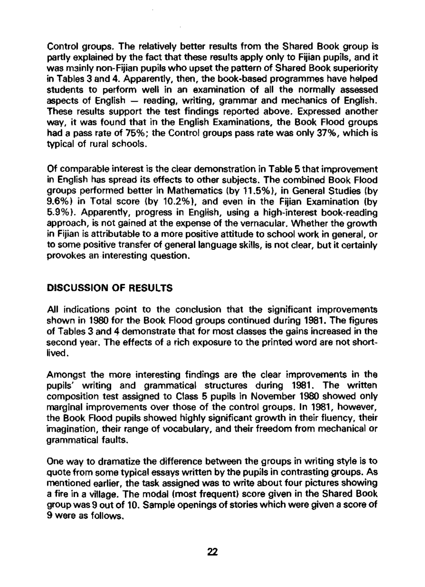Control groups. The relatively better results from the Shared Book group is partly explained by the fact that these results apply only to Fijian pupils, and it was mainly non-Fijian pupils who upset the pattern of Shared Book superiority in Tables 3 and 4. Apparently, then, the book-based programmes have helped students to perform well in an examination of all the normally assessed aspects of English — reading, writing, grammar and mechanics of English. These results support the test findings reported above. Expressed another way, it was found that in the English Examinations, the Book Flood groups had a pass rate of 75%; the Control groups pass rate was only 37%, which is typical of rural schools.

Of comparable interest is the clear demonstration in Table 5 that improvement in English has spread its effects to other subjects. The combined Book Flood groups performed better in Mathematics (by 11.5%), in General Studies (by 9.6%) in Total score (by 10.2%), and even in the Fijian Examination (by 5.9%). Apparently, progress in English, using a high-interest book-reading approach, is not gained at the expense of the vernacular. Whether the growth in Fijian is attributable to a more positive attitude to school work in general, or to some positive transfer of general language skills, is not clear, but it certainly provokes an interesting question.

## **DISCUSSION OF RESULTS**

All indications point to the conclusion that the significant improvements shown in 1980 for the Book Flood groups continued during 1981. The figures of Tables 3 and 4 demonstrate that for most classes the gains increased in the second year. The effects of a rich exposure to the printed word are not shortlived .

Amongst the more interesting findings are the clear improvements in the pupils' writing and grammatical structures during 1981. The written composition test assigned to Class 5 pupils in November 1980 showed only marginal improvements over those of the control groups. In 1981, however, the Book Flood pupils showed highly significant growth in their fluency, their imagination, their range of vocabulary, and their freedom from mechanical or grammatical faults.

One way to dramatize the difference between the groups in writing style is to quote from some typical essays written by the pupils in contrasting groups. As mentioned earlier, the task assigned was to write about four pictures showing a fire in a village. The modal (most frequent) score given in the Shared Book group was 9 out of 10. Sample openings of stories which were given a score of 9 were as follows.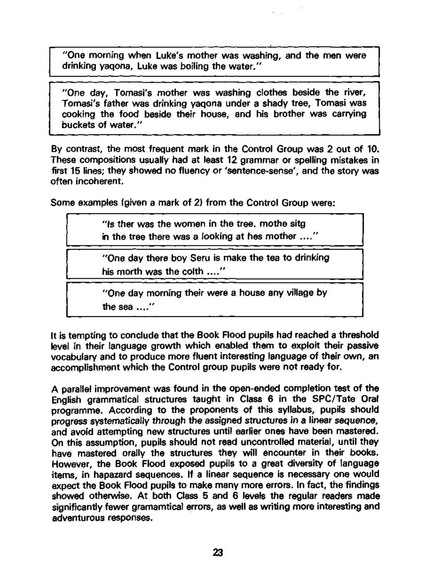"One morning when Luke's mother was washing, and the men were drinking yaqona, Luke was boiling the water."

"One day, Tomasi's mother was washing clothes beside the river, Tomasi's father was drinking yaqona under a shady tree, Tomasi was cooking the food beside their house, and his brother was carrying buckets of water."

By contrast, the most frequent mark in the Control Group was 2 out of 10. These compositions usually had at least 12 grammar or spelling mistakes in first 15 lines; they showed no fluency or 'sentence-sense', and the story was often incoherent.

Some examples (given a mark of 2) from the Control Group were:

"Is ther was the women in the tree, mothe sitg in the tree there was a looking at hes mother ...."

"One day there boy Seru is make the tea to drinking his morth was the colth ...."

"One day morning their were a house any village by the sea ...."

It is tempting to conclude that the Book Flood pupils had reached a threshold level in their language growth which enabled them to exploit their passive vocabulary and to produce more fluent interesting language of their own, an accomplishment which the Control group pupils were not ready for.

A parallel improvement was found in the open-ended completion test of the English grammatical structures taught in Class 6 in the SPC/Tate Oral programme. According to the proponents of this syllabus, pupils should progress systematically through the assigned structures in a linear sequence, and avoid attempting new structures until earlier ones have been mastered. On this assumption, pupils should not read uncontrolled material, until they have mastered orally the structures they will encounter in their books. However, the Book Flood exposed pupils to a great diversity of language items, in hapazard sequences. If a linear sequence is necessary one would expect the Book Flood pupils to make many more errors. In fact, the findings showed otherwise. At both Class 5 and 6 levels the regular readers made significantly fewer gramamtical errors, as well as writing more interesting and adventurous responses.